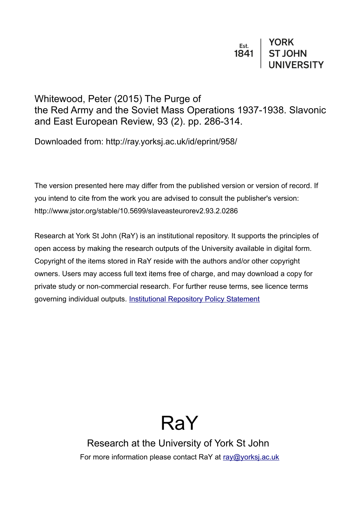# $\begin{array}{c|c} \n \texttt{Est.} & \texttt{YORK} \\
\texttt{1841} & \texttt{STJOHN} \\
\texttt{UNIVERSITY}\n \end{array}$

### Whitewood, Peter (2015) The Purge of the Red Army and the Soviet Mass Operations 1937-1938. Slavonic and East European Review, 93 (2). pp. 286-314.

Downloaded from: http://ray.yorksj.ac.uk/id/eprint/958/

The version presented here may differ from the published version or version of record. If you intend to cite from the work you are advised to consult the publisher's version: http://www.jstor.org/stable/10.5699/slaveasteurorev2.93.2.0286

Research at York St John (RaY) is an institutional repository. It supports the principles of open access by making the research outputs of the University available in digital form. Copyright of the items stored in RaY reside with the authors and/or other copyright owners. Users may access full text items free of charge, and may download a copy for private study or non-commercial research. For further reuse terms, see licence terms governing individual outputs. [Institutional Repository Policy Statement](https://www.yorksj.ac.uk/ils/repository-policies/)

# RaY

Research at the University of York St John For more information please contact RaY at [ray@yorksj.ac.uk](mailto:ray@yorksj.ac.uk)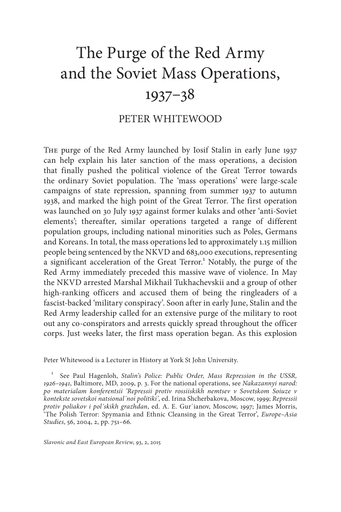## The Purge of the Red Army and the Soviet Mass Operations, 1937–38

#### PETER WHITEWOOD

The purge of the Red Army launched by Iosif Stalin in early June 1937 can help explain his later sanction of the mass operations, a decision that finally pushed the political violence of the Great Terror towards the ordinary Soviet population. The 'mass operations' were large-scale campaigns of state repression, spanning from summer 1937 to autumn 1938, and marked the high point of the Great Terror. The first operation was launched on 30 July 1937 against former kulaks and other 'anti-Soviet elements'; thereafter, similar operations targeted a range of different population groups, including national minorities such as Poles, Germans and Koreans. In total, the mass operations led to approximately 1.15 million people being sentenced by the NKVD and 683,000 executions, representing a significant acceleration of the Great Terror.<sup>1</sup> Notably, the purge of the Red Army immediately preceded this massive wave of violence. In May the NKVD arrested Marshal Mikhail Tukhachevskii and a group of other high-ranking officers and accused them of being the ringleaders of a fascist-backed 'military conspiracy'. Soon after in early June, Stalin and the Red Army leadership called for an extensive purge of the military to root out any co-conspirators and arrests quickly spread throughout the officer corps. Just weeks later, the first mass operation began. As this explosion

Peter Whitewood is a Lecturer in History at York St John University.

<sup>1</sup> See Paul Hagenloh, Stalin's Police: Public Order, Mass Repression in the USSR, *1926–1941*, Baltimore, MD, 2009, p. 3. For the national operations, see *Nakazannyi narod: po materialam konferentsii 'Repressii protiv rossiiskikh nemtsev v Sovetskom Soiuze v kontekste sovetskoi natsional´noi politiki'*, ed. Irina Shcherbakova, Moscow, 1999; *Repressii protiv poliakov i pol´skikh grazhdan*, ed. A. E. Gur´ianov, Moscow, 1997; James Morris, 'The Polish Terror: Spymania and Ethnic Cleansing in the Great Terror', *Europe–Asia Studies*, 56, 2004, 2, pp. 751–66.

*Slavonic and East European Review*, 93, 2, 2015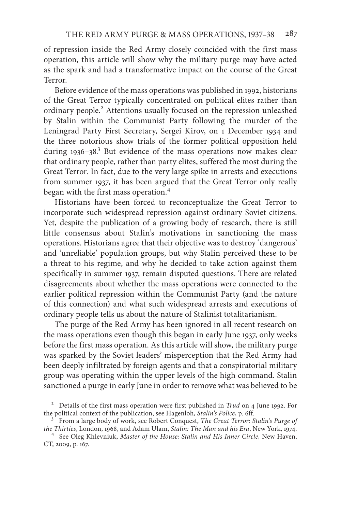of repression inside the Red Army closely coincided with the first mass operation, this article will show why the military purge may have acted as the spark and had a transformative impact on the course of the Great Terror.

Before evidence of the mass operations was published in 1992, historians of the Great Terror typically concentrated on political elites rather than ordinary people.<sup>2</sup> Attentions usually focused on the repression unleashed by Stalin within the Communist Party following the murder of the Leningrad Party First Secretary, Sergei Kirov, on 1 December 1934 and the three notorious show trials of the former political opposition held during 1936-38.<sup>3</sup> But evidence of the mass operations now makes clear that ordinary people, rather than party elites, suffered the most during the Great Terror. In fact, due to the very large spike in arrests and executions from summer 1937, it has been argued that the Great Terror only really began with the first mass operation.<sup>4</sup>

Historians have been forced to reconceptualize the Great Terror to incorporate such widespread repression against ordinary Soviet citizens. Yet, despite the publication of a growing body of research, there is still little consensus about Stalin's motivations in sanctioning the mass operations. Historians agree that their objective was to destroy 'dangerous' and 'unreliable' population groups, but why Stalin perceived these to be a threat to his regime, and why he decided to take action against them specifically in summer 1937, remain disputed questions. There are related disagreements about whether the mass operations were connected to the earlier political repression within the Communist Party (and the nature of this connection) and what such widespread arrests and executions of ordinary people tells us about the nature of Stalinist totalitarianism.

The purge of the Red Army has been ignored in all recent research on the mass operations even though this began in early June 1937, only weeks before the first mass operation. As this article will show, the military purge was sparked by the Soviet leaders' misperception that the Red Army had been deeply infiltrated by foreign agents and that a conspiratorial military group was operating within the upper levels of the high command. Stalin sanctioned a purge in early June in order to remove what was believed to be

<sup>&</sup>lt;sup>2</sup> Details of the first mass operation were first published in *Trud* on 4 June 1992. For the political context of the publication, see Hagenloh, *Stalin's Police*, p. 6ff.

From a large body of work, see Robert Conquest, *The Great Terror: Stalin's Purge of* 

*the Thirties*, London, 1968, and Adam Ulam, *Stalin: The Man and his Era*, New York, 1974. <sup>4</sup> See Oleg Khlevniuk, *Master of the House: Stalin and His Inner Circle,* New Haven, CT, 2009, p. 167.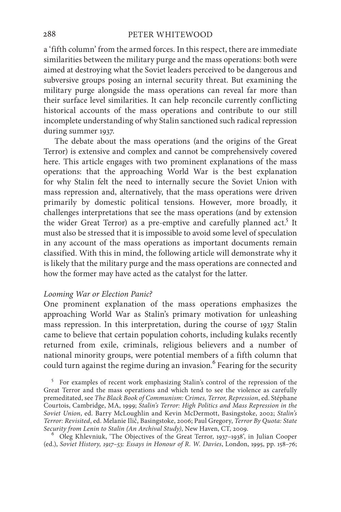a 'fifth column' from the armed forces. In this respect, there are immediate similarities between the military purge and the mass operations: both were aimed at destroying what the Soviet leaders perceived to be dangerous and subversive groups posing an internal security threat. But examining the military purge alongside the mass operations can reveal far more than their surface level similarities. It can help reconcile currently conflicting historical accounts of the mass operations and contribute to our still incomplete understanding of why Stalin sanctioned such radical repression during summer 1937.

The debate about the mass operations (and the origins of the Great Terror) is extensive and complex and cannot be comprehensively covered here. This article engages with two prominent explanations of the mass operations: that the approaching World War is the best explanation for why Stalin felt the need to internally secure the Soviet Union with mass repression and, alternatively, that the mass operations were driven primarily by domestic political tensions. However, more broadly, it challenges interpretations that see the mass operations (and by extension the wider Great Terror) as a pre-emptive and carefully planned act.<sup>5</sup> It must also be stressed that it is impossible to avoid some level of speculation in any account of the mass operations as important documents remain classified. With this in mind, the following article will demonstrate why it is likely that the military purge and the mass operations are connected and how the former may have acted as the catalyst for the latter.

#### *Looming War or Election Panic?*

One prominent explanation of the mass operations emphasizes the approaching World War as Stalin's primary motivation for unleashing mass repression. In this interpretation, during the course of 1937 Stalin came to believe that certain population cohorts, including kulaks recently returned from exile, criminals, religious believers and a number of national minority groups, were potential members of a fifth column that could turn against the regime during an invasion.<sup>6</sup> Fearing for the security

<sup>5</sup> For examples of recent work emphasizing Stalin's control of the repression of the Great Terror and the mass operations and which tend to see the violence as carefully premeditated, see *The Black Book of Communism: Crimes, Terror, Repression*, ed. Stéphane Courtois, Cambridge, MA, 1999; *Stalin's Terror: High Politics and Mass Repression in the Soviet Union*, ed. Barry McLoughlin and Kevin McDermott, Basingstoke, 2002; *Stalin's Terror: Revisited*, ed. Melanie Ilič, Basingstoke, 2006; Paul Gregory, *Terror By Quota: State* 

<sup>6</sup> Oleg Khlevniuk, 'The Objectives of the Great Terror, 1937–1938<sup>'</sup>, in Julian Cooper (ed.), *Soviet History, 1917–53: Essays in Honour of R. W. Davies*, London, 1995, pp. 158–76;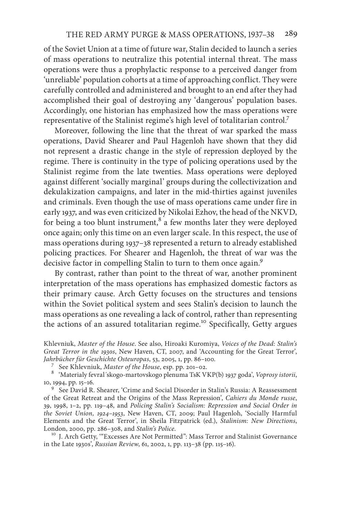of the Soviet Union at a time of future war, Stalin decided to launch a series of mass operations to neutralize this potential internal threat. The mass operations were thus a prophylactic response to a perceived danger from 'unreliable' population cohorts at a time of approaching conflict. They were carefully controlled and administered and brought to an end after they had accomplished their goal of destroying any 'dangerous' population bases. Accordingly, one historian has emphasized how the mass operations were representative of the Stalinist regime's high level of totalitarian control.7

Moreover, following the line that the threat of war sparked the mass operations, David Shearer and Paul Hagenloh have shown that they did not represent a drastic change in the style of repression deployed by the regime. There is continuity in the type of policing operations used by the Stalinist regime from the late twenties. Mass operations were deployed against different 'socially marginal' groups during the collectivization and dekulakization campaigns, and later in the mid-thirties against juveniles and criminals. Even though the use of mass operations came under fire in early 1937, and was even criticized by Nikolai Ezhov, the head of the NKVD, for being a too blunt instrument, $^8$  a few months later they were deployed once again; only this time on an even larger scale. In this respect, the use of mass operations during 1937–38 represented a return to already established policing practices. For Shearer and Hagenloh, the threat of war was the decisive factor in compelling Stalin to turn to them once again.<sup>9</sup>

By contrast, rather than point to the threat of war, another prominent interpretation of the mass operations has emphasized domestic factors as their primary cause. Arch Getty focuses on the structures and tensions within the Soviet political system and sees Stalin's decision to launch the mass operations as one revealing a lack of control, rather than representing the actions of an assured totalitarian regime.<sup>10</sup> Specifically, Getty argues

Khlevniuk, *Master of the House*. See also, Hiroaki Kuromiya, *Voices of the Dead: Stalin's Great Terror in the 1930s*, New Haven, CT, 2007, and 'Accounting for the Great Terror',

*Jahrbücher für Geschichte Osteuropas*, 53, 2005, 1, pp. 86–100. <sup>7</sup> See Khlevniuk, *Master of the House*, esp. pp. 201–02. <sup>8</sup> 'Materialy fevral´skogo-martovskogo plenuma TsK VKP(b) 1937 goda', *Voprosy istorii*,

<sup>9</sup> See David R. Shearer, 'Crime and Social Disorder in Stalin's Russia: A Reassessment of the Great Retreat and the Origins of the Mass Repression', *Cahiers du Monde russe*, 39, 1998, 1–2, pp. 119–48, and *Policing Stalin's Socialism: Repression and Social Order in the Soviet Union, 1924–1953*, New Haven, CT, 2009; Paul Hagenloh, 'Socially Harmful Elements and the Great Terror', in Sheila Fitzpatrick (ed.), *Stalinism: New Directions*, London, 2000, pp. 286–308, and *Stalin's Police*.<br><sup>10</sup> J. Arch Getty, "Excesses Are Not Permitted": Mass Terror and Stalinist Governance

in the Late 1930s', *Russian Review*, 61, 2002, 1, pp. 113–38 (pp. 115–16).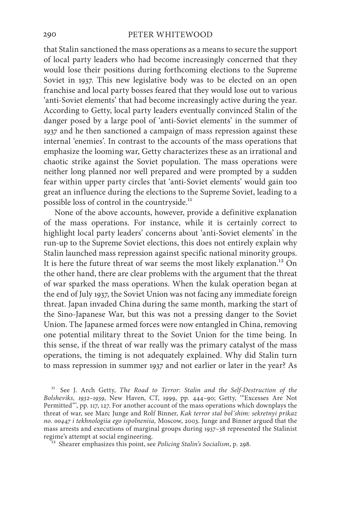that Stalin sanctioned the mass operations as a means to secure the support of local party leaders who had become increasingly concerned that they would lose their positions during forthcoming elections to the Supreme Soviet in 1937. This new legislative body was to be elected on an open franchise and local party bosses feared that they would lose out to various 'anti-Soviet elements' that had become increasingly active during the year. According to Getty, local party leaders eventually convinced Stalin of the danger posed by a large pool of 'anti-Soviet elements' in the summer of 1937 and he then sanctioned a campaign of mass repression against these internal 'enemies'. In contrast to the accounts of the mass operations that emphasize the looming war, Getty characterizes these as an irrational and chaotic strike against the Soviet population. The mass operations were neither long planned nor well prepared and were prompted by a sudden fear within upper party circles that 'anti-Soviet elements' would gain too great an influence during the elections to the Supreme Soviet, leading to a possible loss of control in the countryside.<sup>11</sup>

None of the above accounts, however, provide a definitive explanation of the mass operations. For instance, while it is certainly correct to highlight local party leaders' concerns about 'anti-Soviet elements' in the run-up to the Supreme Soviet elections, this does not entirely explain why Stalin launched mass repression against specific national minority groups. It is here the future threat of war seems the most likely explanation.<sup>12</sup> On the other hand, there are clear problems with the argument that the threat of war sparked the mass operations. When the kulak operation began at the end of July 1937, the Soviet Union was not facing any immediate foreign threat. Japan invaded China during the same month, marking the start of the Sino-Japanese War, but this was not a pressing danger to the Soviet Union. The Japanese armed forces were now entangled in China, removing one potential military threat to the Soviet Union for the time being. In this sense, if the threat of war really was the primary catalyst of the mass operations, the timing is not adequately explained. Why did Stalin turn to mass repression in summer 1937 and not earlier or later in the year? As

<sup>11</sup> See J. Arch Getty, *The Road to Terror: Stalin and the Self-Destruction of the Bolsheviks, 1932–1939*, New Haven, CT, 1999, pp. 444–90; Getty, '"Excesses Are Not Permitted"', pp. 117, 127. For another account of the mass operations which downplays the threat of war, see Marc Junge and Rolf Binner, *Kak terror stal bol´shim: sekretnyi prikaz no. 00447 i tekhnologiia ego ispolneniia,* Moscow, 2003. Junge and Binner argued that the mass arrests and executions of marginal groups during 1937–38 represented the Stalinist regime's attempt at social engineering.

<sup>12</sup> Shearer emphasizes this point, see *Policing Stalin's Socialism*, p. 298.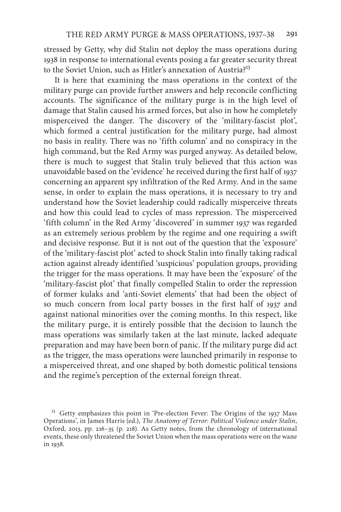stressed by Getty, why did Stalin not deploy the mass operations during 1938 in response to international events posing a far greater security threat to the Soviet Union, such as Hitler's annexation of Austria?<sup>13</sup>

It is here that examining the mass operations in the context of the military purge can provide further answers and help reconcile conflicting accounts. The significance of the military purge is in the high level of damage that Stalin caused his armed forces, but also in how he completely misperceived the danger. The discovery of the 'military-fascist plot', which formed a central justification for the military purge, had almost no basis in reality. There was no 'fifth column' and no conspiracy in the high command, but the Red Army was purged anyway. As detailed below, there is much to suggest that Stalin truly believed that this action was unavoidable based on the 'evidence' he received during the first half of 1937 concerning an apparent spy infiltration of the Red Army. And in the same sense, in order to explain the mass operations, it is necessary to try and understand how the Soviet leadership could radically misperceive threats and how this could lead to cycles of mass repression. The misperceived 'fifth column' in the Red Army 'discovered' in summer 1937 was regarded as an extremely serious problem by the regime and one requiring a swift and decisive response. But it is not out of the question that the 'exposure' of the 'military-fascist plot' acted to shock Stalin into finally taking radical action against already identified 'suspicious' population groups, providing the trigger for the mass operations. It may have been the 'exposure' of the 'military-fascist plot' that finally compelled Stalin to order the repression of former kulaks and 'anti-Soviet elements' that had been the object of so much concern from local party bosses in the first half of 1937 and against national minorities over the coming months. In this respect, like the military purge, it is entirely possible that the decision to launch the mass operations was similarly taken at the last minute, lacked adequate preparation and may have been born of panic. If the military purge did act as the trigger, the mass operations were launched primarily in response to a misperceived threat, and one shaped by both domestic political tensions and the regime's perception of the external foreign threat.

<sup>&</sup>lt;sup>13</sup> Getty emphasizes this point in 'Pre-election Fever: The Origins of the 1937 Mass Operations', in James Harris (ed.), *The Anatomy of Terror: Political Violence under Stalin*, Oxford, 2013, pp. 216–35 (p. 218). As Getty notes, from the chronology of international events, these only threatened the Soviet Union when the mass operations were on the wane in 1938.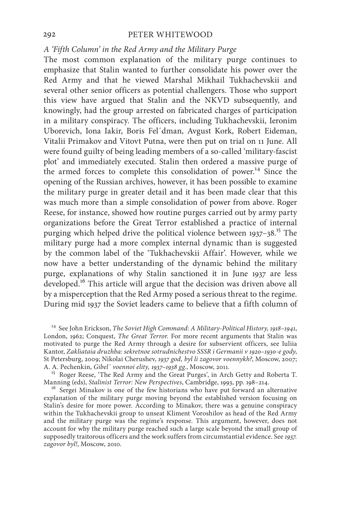#### *A 'Fifth Column' in the Red Army and the Military Purge*

The most common explanation of the military purge continues to emphasize that Stalin wanted to further consolidate his power over the Red Army and that he viewed Marshal Mikhail Tukhachevskii and several other senior officers as potential challengers. Those who support this view have argued that Stalin and the NKVD subsequently, and knowingly, had the group arrested on fabricated charges of participation in a military conspiracy. The officers, including Tukhachevskii, Ieronim Uborevich, Iona Iakir, Boris Fel´dman, Avgust Kork, Robert Eideman, Vitalii Primakov and Vitovt Putna, were then put on trial on 11 June. All were found guilty of being leading members of a so-called 'military-fascist plot' and immediately executed. Stalin then ordered a massive purge of the armed forces to complete this consolidation of power.<sup>14</sup> Since the opening of the Russian archives, however, it has been possible to examine the military purge in greater detail and it has been made clear that this was much more than a simple consolidation of power from above. Roger Reese, for instance, showed how routine purges carried out by army party organizations before the Great Terror established a practice of internal purging which helped drive the political violence between 1937-38.<sup>15</sup> The military purge had a more complex internal dynamic than is suggested by the common label of the 'Tukhachevskii Affair'. However, while we now have a better understanding of the dynamic behind the military purge, explanations of why Stalin sanctioned it in June 1937 are less developed.<sup>16</sup> This article will argue that the decision was driven above all by a misperception that the Red Army posed a serious threat to the regime. During mid 1937 the Soviet leaders came to believe that a fifth column of

<sup>15</sup> Roger Reese, 'The Red Army and the Great Purges', in Arch Getty and Roberta T. Manning (eds), *Stalinist Terror: New Perspectives*, Cambridge, 1993, pp. 198-214.

<sup>16</sup> Sergei Minakov is one of the few historians who have put forward an alternative explanation of the military purge moving beyond the established version focusing on Stalin's desire for more power. According to Minakov, there was a genuine conspiracy within the Tukhachevskii group to unseat Kliment Voroshilov as head of the Red Army and the military purge was the regime's response. This argument, however, does not account for why the military purge reached such a large scale beyond the small group of supposedly traitorous officers and the work suffers from circumstantial evidence. See *1937. zagovor byl!*, Moscow, 2010.

<sup>14</sup> See John Erickson, *The Soviet High Command: A Military-Political History, 1918–1941*, London, 1962; Conquest, *The Great Terror*. For more recent arguments that Stalin was motivated to purge the Red Army through a desire for subservient officers, see Iuliia Kantor, *Zakliataia druzhba: sekretnoe sotrudnichestvo SSSR i Germanii v 1920–1930-e gody*, St Petersburg, 2009; Nikolai Cherushev, *1937 god, byl li zagovor voennykh?*, Moscow, 2007;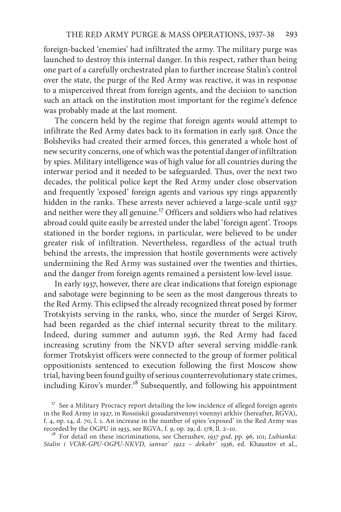foreign-backed 'enemies' had infiltrated the army. The military purge was launched to destroy this internal danger. In this respect, rather than being one part of a carefully orchestrated plan to further increase Stalin's control over the state, the purge of the Red Army was reactive, it was in response to a misperceived threat from foreign agents, and the decision to sanction such an attack on the institution most important for the regime's defence was probably made at the last moment.

The concern held by the regime that foreign agents would attempt to infiltrate the Red Army dates back to its formation in early 1918. Once the Bolsheviks had created their armed forces, this generated a whole host of new security concerns, one of which was the potential danger of infiltration by spies. Military intelligence was of high value for all countries during the interwar period and it needed to be safeguarded. Thus, over the next two decades, the political police kept the Red Army under close observation and frequently 'exposed' foreign agents and various spy rings apparently hidden in the ranks. These arrests never achieved a large-scale until 1937 and neither were they all genuine.<sup>17</sup> Officers and soldiers who had relatives abroad could quite easily be arrested under the label 'foreign agent'. Troops stationed in the border regions, in particular, were believed to be under greater risk of infiltration. Nevertheless, regardless of the actual truth behind the arrests, the impression that hostile governments were actively undermining the Red Army was sustained over the twenties and thirties, and the danger from foreign agents remained a persistent low-level issue.

In early 1937, however, there are clear indications that foreign espionage and sabotage were beginning to be seen as the most dangerous threats to the Red Army. This eclipsed the already recognized threat posed by former Trotskyists serving in the ranks, who, since the murder of Sergei Kirov, had been regarded as the chief internal security threat to the military. Indeed, during summer and autumn 1936, the Red Army had faced increasing scrutiny from the NKVD after several serving middle-rank former Trotskyist officers were connected to the group of former political oppositionists sentenced to execution following the first Moscow show trial, having been found guilty of serious counterrevolutionary state crimes, including Kirov's murder.<sup>18</sup> Subsequently, and following his appointment

 $17$  See a Military Procracy report detailing the low incidence of alleged foreign agents in the Red Army in 1927, in Rossiiskii gosudarstvennyi voennyi arkhiv (hereafter, RGVA), f. 4, op. 14, d. 70, l. 1. An increase in the number of spies 'exposed' in the Red Army was recorded by the OGPU in 1933, see RGVA, f. 9, op. 29, d. 178, ll. 2–10. <sup>18</sup> For detail on these incriminations, see Cherushev, *1937 god*, pp. 96, 101; *Lubianka:* 

*Stalin i VChK-GPU-OGPU-NKVD, ianvar´ 1922 – dekabr´ 193*6, ed. Khaustov et al.,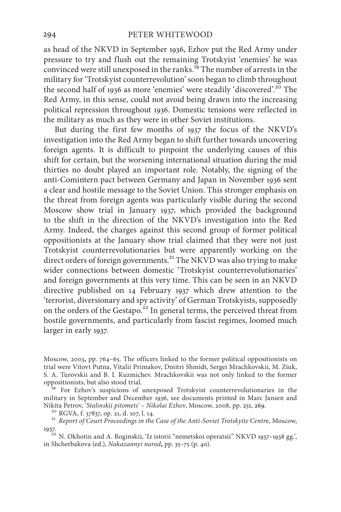as head of the NKVD in September 1936, Ezhov put the Red Army under pressure to try and flush out the remaining Trotskyist 'enemies' he was convinced were still unexposed in the ranks.19 The number of arrests in the military for 'Trotskyist counterrevolution' soon began to climb throughout the second half of 1936 as more 'enemies' were steadily 'discovered'.20 The Red Army, in this sense, could not avoid being drawn into the increasing political repression throughout 1936. Domestic tensions were reflected in the military as much as they were in other Soviet institutions.

But during the first few months of 1937 the focus of the NKVD's investigation into the Red Army began to shift further towards uncovering foreign agents. It is difficult to pinpoint the underlying causes of this shift for certain, but the worsening international situation during the mid thirties no doubt played an important role. Notably, the signing of the anti-Comintern pact between Germany and Japan in November 1936 sent a clear and hostile message to the Soviet Union. This stronger emphasis on the threat from foreign agents was particularly visible during the second Moscow show trial in January 1937, which provided the background to the shift in the direction of the NKVD's investigation into the Red Army. Indeed, the charges against this second group of former political oppositionists at the January show trial claimed that they were not just Trotskyist counterrevolutionaries but were apparently working on the direct orders of foreign governments.<sup>21</sup> The NKVD was also trying to make wider connections between domestic 'Trotskyist counterrevolutionaries' and foreign governments at this very time. This can be seen in an NKVD directive published on 14 February 1937 which drew attention to the 'terrorist, diversionary and spy activity' of German Trotskyists, supposedly on the orders of the Gestapo.<sup>22</sup> In general terms, the perceived threat from hostile governments, and particularly from fascist regimes, loomed much larger in early 1937.

Moscow, 2003**,** pp. 764–65. The officers linked to the former political oppositionists on trial were Vitovt Putna, Vitalii Primakov, Dmitri Shmidt, Sergei Mrachkovskii, M. Ziuk, S. A. Turovskii and B. I. Kuzmichev. Mrachkovskii was not only linked to the former

<sup>19</sup> For Ezhov's suspicions of unexposed Trotskyist counterrevolutionaries in the military in September and December 1936, see documents printed in Marc Jansen and<br>Nikita Petrov, 'Stalinskii pitomets' - Nikolai Ezhov, Moscow, 2008, pp. 251, 269.

<sup>20</sup> RGVA, f. 37837, op. 21, d. 107, l. 14.<br><sup>21</sup> Report of Court Proceedings in the Case of the Anti-Soviet Trotskyite Centre, Moscow,

1937.<br><sup>22</sup> N. Okhotin and A. Roginskii, 'Iz istorii "nemetskoi operatsii" NKVD 1937–1938 gg.', in Shcherbakova (ed.), *Nakazannyi narod***,** pp. 35–75 (p. 40).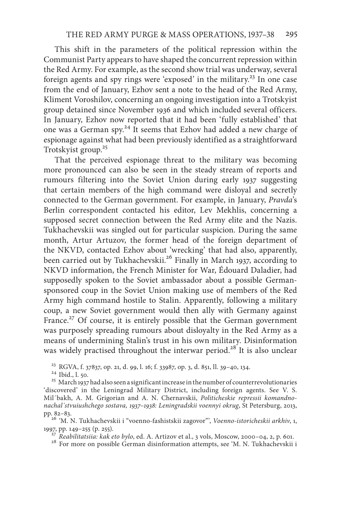This shift in the parameters of the political repression within the Communist Party appears to have shaped the concurrent repression within the Red Army. For example, as the second show trial was underway, several foreign agents and spy rings were 'exposed' in the military.<sup>23</sup> In one case from the end of January, Ezhov sent a note to the head of the Red Army, Kliment Voroshilov, concerning an ongoing investigation into a Trotskyist group detained since November 1936 and which included several officers. In January, Ezhov now reported that it had been 'fully established' that one was a German spy.24 It seems that Ezhov had added a new charge of espionage against what had been previously identified as a straightforward Trotskyist group.<sup>25</sup>

That the perceived espionage threat to the military was becoming more pronounced can also be seen in the steady stream of reports and rumours filtering into the Soviet Union during early 1937 suggesting that certain members of the high command were disloyal and secretly connected to the German government. For example, in January, *Pravda*'s Berlin correspondent contacted his editor, Lev Mekhlis, concerning a supposed secret connection between the Red Army elite and the Nazis. Tukhachevskii was singled out for particular suspicion. During the same month, Artur Artuzov, the former head of the foreign department of the NKVD, contacted Ezhov about 'wrecking' that had also, apparently, been carried out by Tukhachevskii.<sup>26</sup> Finally in March 1937, according to NKVD information, the French Minister for War, Édouard Daladier, had supposedly spoken to the Soviet ambassador about a possible Germansponsored coup in the Soviet Union making use of members of the Red Army high command hostile to Stalin. Apparently, following a military coup, a new Soviet government would then ally with Germany against France.<sup>27</sup> Of course, it is entirely possible that the German government was purposely spreading rumours about disloyalty in the Red Army as a means of undermining Stalin's trust in his own military. Disinformation was widely practised throughout the interwar period.<sup>28'</sup>It is also unclear

<sup>23</sup> RGVA, f. 37837, op. 21, d. 99, l. 16; f. 33987, op. 3, d. 851, ll. 39–40, 134.<br><sup>24</sup> Ibid., l. 50.<br><sup>25</sup> March 1937 had also seen a significant increase in the number of counterrevolutionaries 'discovered' in the Leningrad Military District, including foreign agents. See V. S. Mil´bakh, A. M. Grigorian and A. N. Chernavskii, *Politicheskie repressii komandnonachal´stvuiushchego sostava, 1937–1938: Leningradskii voennyi okrug*, St Petersburg, 2013, pp. 82–83. <sup>26</sup> 'M. N. Tukhachevskii i "voenno-fashistskii zagovor"', *Voenno-istoricheskii arkhiv*, 1,

1997, pp. 149–255 (p. 255).

<sup>27</sup> *Reabilitatsiia: kak eto bylo*, ed. A. Artizov et al., 3 vols, Moscow, 2000–04, 2, p. 601.<br><sup>28</sup> For more on possible German disinformation attempts, see 'M. N. Tukhachevskii i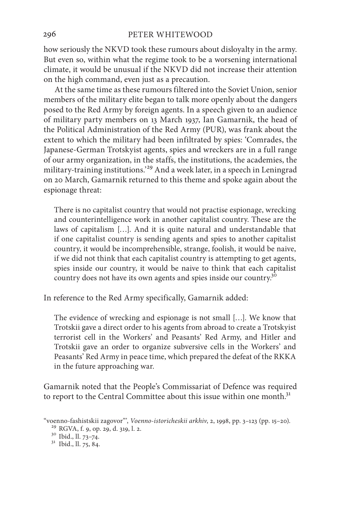how seriously the NKVD took these rumours about disloyalty in the army. But even so, within what the regime took to be a worsening international climate, it would be unusual if the NKVD did not increase their attention on the high command, even just as a precaution.

At the same time as these rumours filtered into the Soviet Union, senior members of the military elite began to talk more openly about the dangers posed to the Red Army by foreign agents. In a speech given to an audience of military party members on 13 March 1937, Ian Gamarnik, the head of the Political Administration of the Red Army (PUR), was frank about the extent to which the military had been infiltrated by spies: 'Comrades, the Japanese-German Trotskyist agents, spies and wreckers are in a full range of our army organization, in the staffs, the institutions, the academies, the military-training institutions.'29 And a week later, in a speech in Leningrad on 20 March, Gamarnik returned to this theme and spoke again about the espionage threat:

There is no capitalist country that would not practise espionage, wrecking and counterintelligence work in another capitalist country. These are the laws of capitalism […]. And it is quite natural and understandable that if one capitalist country is sending agents and spies to another capitalist country, it would be incomprehensible, strange, foolish, it would be naive, if we did not think that each capitalist country is attempting to get agents, spies inside our country, it would be naive to think that each capitalist country does not have its own agents and spies inside our country.<sup>30</sup>

In reference to the Red Army specifically, Gamarnik added:

The evidence of wrecking and espionage is not small […]. We know that Trotskii gave a direct order to his agents from abroad to create a Trotskyist terrorist cell in the Workers' and Peasants' Red Army, and Hitler and Trotskii gave an order to organize subversive cells in the Workers' and Peasants' Red Army in peace time, which prepared the defeat of the RKKA in the future approaching war.

Gamarnik noted that the People's Commissariat of Defence was required to report to the Central Committee about this issue within one month.<sup>31</sup>

<sup>&</sup>quot;voenno-fashistskii zagovor"', *Voenno-istoricheskii arkhiv*, 2, 1998, pp. 3–123 (pp. 15–20).<br><sup>29</sup> RGVA, f. 9, op. 29, d. 319, l. 2.<br><sup>30</sup> Ibid., ll. 73–74.<br><sup>31</sup> Ibid., ll. 75, 84.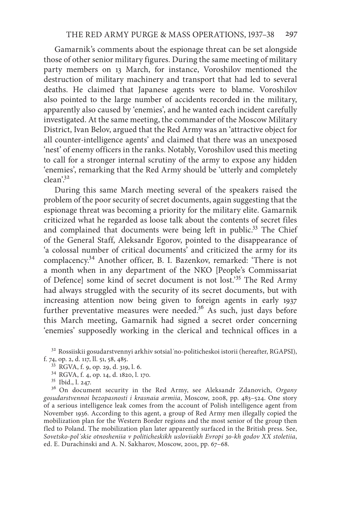Gamarnik's comments about the espionage threat can be set alongside those of other senior military figures. During the same meeting of military party members on 13 March, for instance, Voroshilov mentioned the destruction of military machinery and transport that had led to several deaths. He claimed that Japanese agents were to blame. Voroshilov also pointed to the large number of accidents recorded in the military, apparently also caused by 'enemies', and he wanted each incident carefully investigated. At the same meeting, the commander of the Moscow Military District, Ivan Belov, argued that the Red Army was an 'attractive object for all counter-intelligence agents' and claimed that there was an unexposed 'nest' of enemy officers in the ranks. Notably, Voroshilov used this meeting to call for a stronger internal scrutiny of the army to expose any hidden 'enemies', remarking that the Red Army should be 'utterly and completely clean'.32

During this same March meeting several of the speakers raised the problem of the poor security of secret documents, again suggesting that the espionage threat was becoming a priority for the military elite. Gamarnik criticized what he regarded as loose talk about the contents of secret files and complained that documents were being left in public.<sup>33</sup> The Chief of the General Staff, Aleksandr Egorov, pointed to the disappearance of 'a colossal number of critical documents' and criticized the army for its complacency.34 Another officer, B. I. Bazenkov, remarked: 'There is not a month when in any department of the NKO [People's Commissariat of Defence] some kind of secret document is not lost.'35 The Red Army had always struggled with the security of its secret documents, but with increasing attention now being given to foreign agents in early 1937 further preventative measures were needed.<sup>36</sup> As such, just days before this March meeting, Gamarnik had signed a secret order concerning 'enemies' supposedly working in the clerical and technical offices in a

 $^{32}$  Rossiiskii gosudarstvennyi arkhiv sotsial´no-politicheskoi istorii (hereafter, RGAPSI), f. 74, op. 2, d. 117, ll. 51, 58, 485.

<sup>33</sup> RGVA, f. 9, op. 29, d. 319, l. 6.<br><sup>34</sup> RGVA, f. 4, op. 14, d. 1820, l. 170.<br><sup>35</sup> Ibid., l. 247.

<sup>36</sup> On document security in the Red Army, see Aleksandr Zdanovich, *Organy gosudarstvennoi bezopasnosti i krasnaia armiia*, Moscow, 2008, pp. 483–524. One story of a serious intelligence leak comes from the account of Polish intelligence agent from November 1936. According to this agent, a group of Red Army men illegally copied the mobilization plan for the Western Border regions and the most senior of the group then fled to Poland. The mobilization plan later apparently surfaced in the British press. See, *Sovetsko-pol´skie otnosheniia v politicheskikh usloviiakh Evropi 30-kh godov XX stoletiia*, ed. E. Durachinski and A. N. Sakharov, Moscow, 2001, pp. 67–68.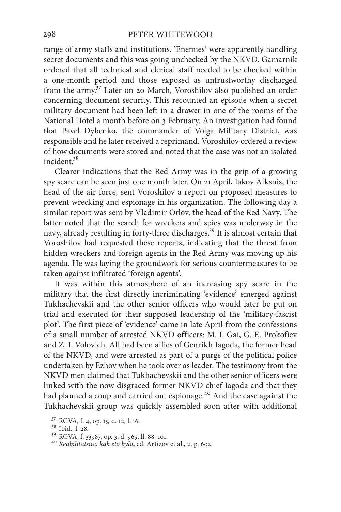range of army staffs and institutions. 'Enemies' were apparently handling secret documents and this was going unchecked by the NKVD. Gamarnik ordered that all technical and clerical staff needed to be checked within a one-month period and those exposed as untrustworthy discharged from the army.37 Later on 20 March, Voroshilov also published an order concerning document security. This recounted an episode when a secret military document had been left in a drawer in one of the rooms of the National Hotel a month before on 3 February. An investigation had found that Pavel Dybenko, the commander of Volga Military District, was responsible and he later received a reprimand. Voroshilov ordered a review of how documents were stored and noted that the case was not an isolated incident.38

Clearer indications that the Red Army was in the grip of a growing spy scare can be seen just one month later. On 21 April, Iakov Alksnis, the head of the air force, sent Voroshilov a report on proposed measures to prevent wrecking and espionage in his organization. The following day a similar report was sent by Vladimir Orlov, the head of the Red Navy. The latter noted that the search for wreckers and spies was underway in the navy, already resulting in forty-three discharges.39 It is almost certain that Voroshilov had requested these reports, indicating that the threat from hidden wreckers and foreign agents in the Red Army was moving up his agenda. He was laying the groundwork for serious countermeasures to be taken against infiltrated 'foreign agents'.

It was within this atmosphere of an increasing spy scare in the military that the first directly incriminating 'evidence' emerged against Tukhachevskii and the other senior officers who would later be put on trial and executed for their supposed leadership of the 'military-fascist plot'. The first piece of 'evidence' came in late April from the confessions of a small number of arrested NKVD officers: M. I. Gai, G. E. Prokofiev and Z. I. Volovich. All had been allies of Genrikh Iagoda, the former head of the NKVD, and were arrested as part of a purge of the political police undertaken by Ezhov when he took over as leader. The testimony from the NKVD men claimed that Tukhachevskii and the other senior officers were linked with the now disgraced former NKVD chief Iagoda and that they had planned a coup and carried out espionage.<sup>40</sup> And the case against the Tukhachevskii group was quickly assembled soon after with additional

<sup>37</sup> RGVA, f. 4, op. 15, d. 12, l. 16. <sup>38</sup> Ibid., l. 28. <sup>39</sup> RGVA, f. 33987, op. 3, d. 965, ll. 88–101. <sup>40</sup> *Reabilitatsiia: kak eto bylo***,** ed. Artizov et al., 2, p. 602.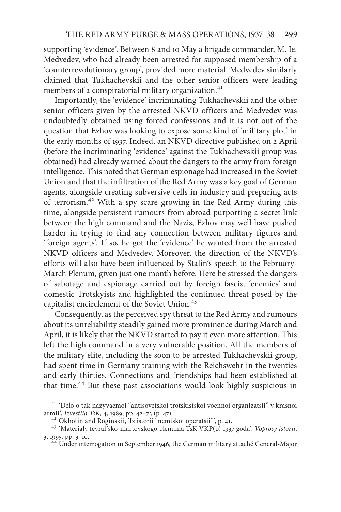supporting 'evidence'. Between 8 and 10 May a brigade commander, M. Ie. Medvedev, who had already been arrested for supposed membership of a 'counterrevolutionary group', provided more material. Medvedev similarly claimed that Tukhachevskii and the other senior officers were leading members of a conspiratorial military organization.<sup>41</sup>

Importantly, the 'evidence' incriminating Tukhachevskii and the other senior officers given by the arrested NKVD officers and Medvedev was undoubtedly obtained using forced confessions and it is not out of the question that Ezhov was looking to expose some kind of 'military plot' in the early months of 1937. Indeed, an NKVD directive published on 2 April (before the incriminating 'evidence' against the Tukhachevskii group was obtained) had already warned about the dangers to the army from foreign intelligence. This noted that German espionage had increased in the Soviet Union and that the infiltration of the Red Army was a key goal of German agents, alongside creating subversive cells in industry and preparing acts of terrorism.42 With a spy scare growing in the Red Army during this time, alongside persistent rumours from abroad purporting a secret link between the high command and the Nazis, Ezhov may well have pushed harder in trying to find any connection between military figures and 'foreign agents'. If so, he got the 'evidence' he wanted from the arrested NKVD officers and Medvedev. Moreover, the direction of the NKVD's efforts will also have been influenced by Stalin's speech to the February-March Plenum, given just one month before. Here he stressed the dangers of sabotage and espionage carried out by foreign fascist 'enemies' and domestic Trotskyists and highlighted the continued threat posed by the capitalist encirclement of the Soviet Union.<sup>43</sup>

Consequently, as the perceived spy threat to the Red Army and rumours about its unreliability steadily gained more prominence during March and April, it is likely that the NKVD started to pay it even more attention. This left the high command in a very vulnerable position. All the members of the military elite, including the soon to be arrested Tukhachevskii group, had spent time in Germany training with the Reichswehr in the twenties and early thirties. Connections and friendships had been established at that time.44 But these past associations would look highly suspicious in

 $^{41}$ 'Delo o tak nazyvaemoi "antisovetskoi trotskistskoi voennoi organizatsii" v krasnoi armii', Izvestiia TsK, 4, 1989, pp. 42–73 (p. 47).

<sup>&</sup>lt;sup>42</sup> Okhotin and Roginskii, 'Iz istorii "nemtskoi operatsii"', p. 41.<br><sup>43</sup> 'Materialy fevral´sko-martovskogo plenuma TsK VKP(b) 1937 goda', *Voprosy istorii*,<br>3, 1995, pp. 3–10.

<sup>&</sup>lt;sup>44</sup> Under interrogation in September 1946, the German military attaché General-Major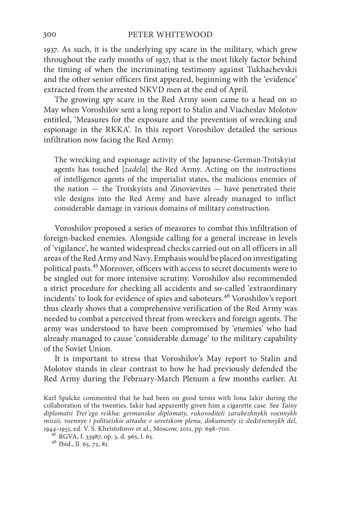1937. As such, it is the underlying spy scare in the military, which grew throughout the early months of 1937, that is the most likely factor behind the timing of when the incriminating testimony against Tukhachevskii and the other senior officers first appeared, beginning with the 'evidence' extracted from the arrested NKVD men at the end of April.

The growing spy scare in the Red Army soon came to a head on 10 May when Voroshilov sent a long report to Stalin and Viacheslav Molotov entitled, 'Measures for the exposure and the prevention of wrecking and espionage in the RKKA'. In this report Voroshilov detailed the serious infiltration now facing the Red Army:

The wrecking and espionage activity of the Japanese-German-Trotskyist agents has touched [*zadela*] the Red Army. Acting on the instructions of intelligence agents of the imperialist states, the malicious enemies of the nation — the Trotskyists and Zinovievites — have penetrated their vile designs into the Red Army and have already managed to inflict considerable damage in various domains of military construction.

Voroshilov proposed a series of measures to combat this infiltration of foreign-backed enemies. Alongside calling for a general increase in levels of 'vigilance', he wanted widespread checks carried out on all officers in all areas of the Red Army and Navy. Emphasis would be placed on investigating political pasts.45 Moreover, officers with access to secret documents were to be singled out for more intensive scrutiny. Voroshilov also recommended a strict procedure for checking all accidents and so-called 'extraordinary incidents' to look for evidence of spies and saboteurs.46 Voroshilov's report thus clearly shows that a comprehensive verification of the Red Army was needed to combat a perceived threat from wreckers and foreign agents. The army was understood to have been compromised by 'enemies' who had already managed to cause 'considerable damage' to the military capability of the Soviet Union.

It is important to stress that Voroshilov's May report to Stalin and Molotov stands in clear contrast to how he had previously defended the Red Army during the February-March Plenum a few months earlier. At

Karl Spalcke commented that he had been on good terms with Iona Iakir during the collaboration of the twenties. Iakir had apparently given him a cigarette case. See *Tainy diplomatii Tret´ego reikha: germanskie diplomaty, rukovoditeli zarubezhnykh voennykh missii, voennye i politseiskie attashe v sovetskom plenu, dokumenty iz sledstvennykh del, 1944–1955*, ed. V. S. Khristoforov et al., Moscow, 2011, pp. 698–700. <sup>45</sup> RGVA, f. 33987, op. 3, d. 965, l. 65. <sup>46</sup> Ibid., ll. 65, 72, 81.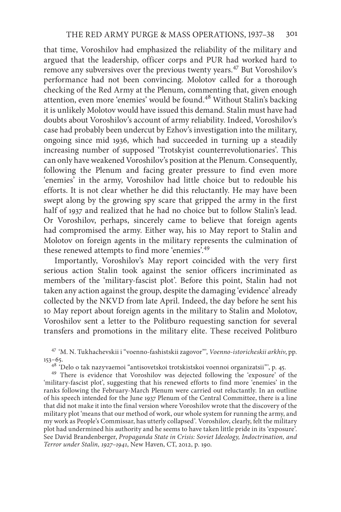that time, Voroshilov had emphasized the reliability of the military and argued that the leadership, officer corps and PUR had worked hard to remove any subversives over the previous twenty years.47 But Voroshilov's performance had not been convincing. Molotov called for a thorough checking of the Red Army at the Plenum, commenting that, given enough attention, even more 'enemies' would be found.<sup>48</sup> Without Stalin's backing it is unlikely Molotov would have issued this demand. Stalin must have had doubts about Voroshilov's account of army reliability. Indeed, Voroshilov's case had probably been undercut by Ezhov's investigation into the military, ongoing since mid 1936, which had succeeded in turning up a steadily increasing number of supposed 'Trotskyist counterrevolutionaries'. This can only have weakened Voroshilov's position at the Plenum. Consequently, following the Plenum and facing greater pressure to find even more 'enemies' in the army, Voroshilov had little choice but to redouble his efforts. It is not clear whether he did this reluctantly. He may have been swept along by the growing spy scare that gripped the army in the first half of 1937 and realized that he had no choice but to follow Stalin's lead. Or Voroshilov, perhaps, sincerely came to believe that foreign agents had compromised the army. Either way, his 10 May report to Stalin and Molotov on foreign agents in the military represents the culmination of these renewed attempts to find more 'enemies'.<sup>49</sup>

Importantly, Voroshilov's May report coincided with the very first serious action Stalin took against the senior officers incriminated as members of the 'military-fascist plot'. Before this point, Stalin had not taken any action against the group, despite the damaging 'evidence' already collected by the NKVD from late April. Indeed, the day before he sent his 10 May report about foreign agents in the military to Stalin and Molotov, Voroshilov sent a letter to the Politburo requesting sanction for several transfers and promotions in the military elite. These received Politburo

<sup>47</sup> 'M. N. Tukhachevskii i "voenno-fashistskii zagovor"', *Voenno-istoricheskii arkhiv*, pp. 153–65.

 $\frac{48}{48}$  'Delo o tak nazyvaemoi "antisovetskoi trotskistskoi voennoi organizatsii"', p. 45.<br><sup>49</sup> There is evidence that Voroshilov was dejected following the 'exposure' of the 'military-fascist plot', suggesting that his renewed efforts to find more 'enemies' in the ranks following the February-March Plenum were carried out reluctantly. In an outline of his speech intended for the June 1937 Plenum of the Central Committee, there is a line that did not make it into the final version where Voroshilov wrote that the discovery of the military plot 'means that our method of work, our whole system for running the army, and my work as People's Commissar, has utterly collapsed'. Voroshilov, clearly, felt the military plot had undermined his authority and he seems to have taken little pride in its 'exposure'. See David Brandenberger, *Propaganda State in Crisis: Soviet Ideology, Indoctrination, and Terror under Stalin, 1927–1941*, New Haven, CT, 2012, p. 190.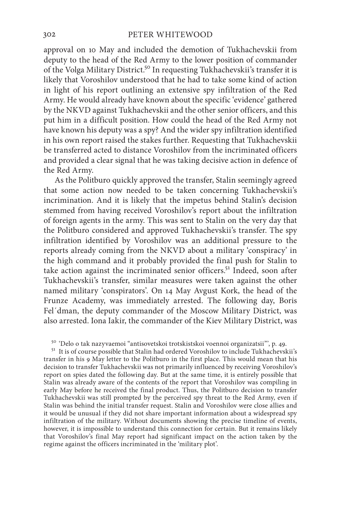approval on 10 May and included the demotion of Tukhachevskii from deputy to the head of the Red Army to the lower position of commander of the Volga Military District.<sup>50</sup> In requesting Tukhachevskii's transfer it is likely that Voroshilov understood that he had to take some kind of action in light of his report outlining an extensive spy infiltration of the Red Army. He would already have known about the specific 'evidence' gathered by the NKVD against Tukhachevskii and the other senior officers, and this put him in a difficult position. How could the head of the Red Army not have known his deputy was a spy? And the wider spy infiltration identified in his own report raised the stakes further. Requesting that Tukhachevskii be transferred acted to distance Voroshilov from the incriminated officers and provided a clear signal that he was taking decisive action in defence of the Red Army.

As the Politburo quickly approved the transfer, Stalin seemingly agreed that some action now needed to be taken concerning Tukhachevskii's incrimination. And it is likely that the impetus behind Stalin's decision stemmed from having received Voroshilov's report about the infiltration of foreign agents in the army. This was sent to Stalin on the very day that the Politburo considered and approved Tukhachevskii's transfer. The spy infiltration identified by Voroshilov was an additional pressure to the reports already coming from the NKVD about a military 'conspiracy' in the high command and it probably provided the final push for Stalin to take action against the incriminated senior officers.<sup>51</sup> Indeed, soon after Tukhachevskii's transfer, similar measures were taken against the other named military 'conspirators'. On 14 May Avgust Kork, the head of the Frunze Academy, was immediately arrested. The following day, Boris Fel´dman, the deputy commander of the Moscow Military District, was also arrested. Iona Iakir, the commander of the Kiev Military District, was

<sup>50</sup> 'Delo o tak nazyvaemoi "antisovetskoi trotskistskoi voennoi organizatsii"', p. 49.<br><sup>51</sup> It is of course possible that Stalin had ordered Voroshilov to include Tukhachevskii's

transfer in his 9 May letter to the Politburo in the first place. This would mean that his decision to transfer Tukhachevskii was not primarily influenced by receiving Voroshilov's report on spies dated the following day. But at the same time, it is entirely possible that Stalin was already aware of the contents of the report that Voroshilov was compiling in early May before he received the final product. Thus, the Politburo decision to transfer Tukhachevskii was still prompted by the perceived spy threat to the Red Army, even if Stalin was behind the initial transfer request. Stalin and Voroshilov were close allies and it would be unusual if they did not share important information about a widespread spy infiltration of the military. Without documents showing the precise timeline of events, however, it is impossible to understand this connection for certain. But it remains likely that Voroshilov's final May report had significant impact on the action taken by the regime against the officers incriminated in the 'military plot'.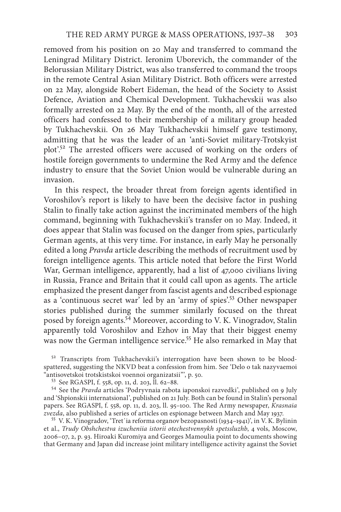removed from his position on 20 May and transferred to command the Leningrad Military District. Ieronim Uborevich, the commander of the Belorussian Military District, was also transferred to command the troops in the remote Central Asian Military District. Both officers were arrested on 22 May, alongside Robert Eideman, the head of the Society to Assist Defence, Aviation and Chemical Development. Tukhachevskii was also formally arrested on 22 May. By the end of the month, all of the arrested officers had confessed to their membership of a military group headed by Tukhachevskii. On 26 May Tukhachevskii himself gave testimony, admitting that he was the leader of an 'anti-Soviet military-Trotskyist plot'.<sup>52</sup> The arrested officers were accused of working on the orders of hostile foreign governments to undermine the Red Army and the defence industry to ensure that the Soviet Union would be vulnerable during an invasion.

In this respect, the broader threat from foreign agents identified in Voroshilov's report is likely to have been the decisive factor in pushing Stalin to finally take action against the incriminated members of the high command, beginning with Tukhachevskii's transfer on 10 May. Indeed, it does appear that Stalin was focused on the danger from spies, particularly German agents, at this very time. For instance, in early May he personally edited a long *Pravda* article describing the methods of recruitment used by foreign intelligence agents. This article noted that before the First World War, German intelligence, apparently, had a list of 47,000 civilians living in Russia, France and Britain that it could call upon as agents. The article emphasized the present danger from fascist agents and described espionage as a 'continuous secret war' led by an 'army of spies'.53 Other newspaper stories published during the summer similarly focused on the threat posed by foreign agents.<sup>54</sup> Moreover, according to V. K. Vinogradov, Stalin apparently told Voroshilov and Ezhov in May that their biggest enemy was now the German intelligence service.<sup>55</sup> He also remarked in May that

<sup>52</sup> Transcripts from Tukhachevskii's interrogation have been shown to be bloodspattered, suggesting the NKVD beat a confession from him. See 'Delo o tak nazyvaemoi "antisovetskoi trotskistskoi voennoi organizatsii", p. 50.

<sup>53</sup> See RGASPI, f. 558, op. 11, d. 203, ll. 62–88.<br><sup>54</sup> See the *Pravda* articles 'Podryvnaia rabota iaponskoi razvedki', published on 9 July and 'Shpionskii internatsional', published on 21 July. Both can be found in Stalin's personal papers. See RGASPI, f. 558, op. 11, d. 203, ll. 95–100. The Red Army newspaper, *Krasnaia* 

<sup>55</sup> V. K. Vinogradov, 'Tret'ia reforma organov bezopasnosti (1934–1941)', in V. K. Bylinin et al., *Trudy Obshchestva izucheniia istorii otechestvennykh spetssluzhb*, 4 vols, Moscow, 2006–07, 2, p. 93. Hiroaki Kuromiya and Georges Mamoulia point to documents showing that Germany and Japan did increase joint military intelligence activity against the Soviet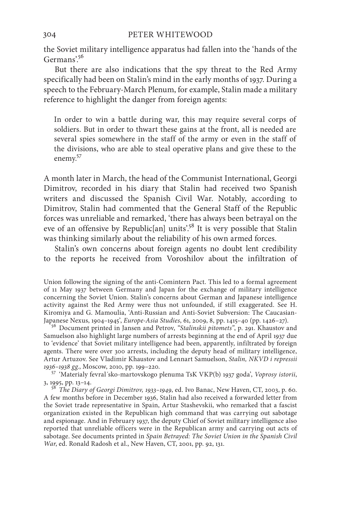the Soviet military intelligence apparatus had fallen into the 'hands of the Germans<sup>'56</sup>

But there are also indications that the spy threat to the Red Army specifically had been on Stalin's mind in the early months of 1937. During a speech to the February-March Plenum, for example, Stalin made a military reference to highlight the danger from foreign agents:

In order to win a battle during war, this may require several corps of soldiers. But in order to thwart these gains at the front, all is needed are several spies somewhere in the staff of the army or even in the staff of the divisions, who are able to steal operative plans and give these to the enemy.57

A month later in March, the head of the Communist International, Georgi Dimitrov, recorded in his diary that Stalin had received two Spanish writers and discussed the Spanish Civil War. Notably, according to Dimitrov, Stalin had commented that the General Staff of the Republic forces was unreliable and remarked, 'there has always been betrayal on the eve of an offensive by Republic[an] units'.<sup>58</sup> It is very possible that Stalin was thinking similarly about the reliability of his own armed forces.

Stalin's own concerns about foreign agents no doubt lent credibility to the reports he received from Voroshilov about the infiltration of

Union following the signing of the anti-Comintern Pact. This led to a formal agreement of 11 May 1937 between Germany and Japan for the exchange of military intelligence concerning the Soviet Union. Stalin's concerns about German and Japanese intelligence activity against the Red Army were thus not unfounded, if still exaggerated. See H. Kiromiya and G. Mamoulia, 'Anti-Russian and Anti-Soviet Subversion: The Caucasian-<br>Japanese Nexus, 1904–1945', *Europe-Asia Studies*, 61, 2009, 8, pp. 1415–40 (pp. 1426–27).

<sup>56</sup> Document printed in Jansen and Petrov, *"Stalinskii pitomets"*, p. 291. Khaustov and Samuelson also highlight large numbers of arrests beginning at the end of April 1937 due to 'evidence' that Soviet military intelligence had been, apparently, infiltrated by foreign agents. There were over 300 arrests, including the deputy head of military intelligence, Artur Artuzov. See Vladimir Khaustov and Lennart Samuelson, *Stalin, NKVD i repressii 1936–1938 gg.*, Moscow, 2010, pp. 199–220. 57 'Materialy fevral´sko-martovskogo plenuma TsK VKP(b) 1937 goda', *Voprosy istorii*,

3, 1995, pp. 13–14. <sup>58</sup> *The Diary of Georgi Dimitrov, 1933–1949*, ed. Ivo Banac, New Haven, CT, 2003, p. 60.

A few months before in December 1936, Stalin had also received a forwarded letter from the Soviet trade representative in Spain, Artur Stashevskii, who remarked that a fascist organization existed in the Republican high command that was carrying out sabotage and espionage. And in February 1937, the deputy Chief of Soviet military intelligence also reported that unreliable officers were in the Republican army and carrying out acts of sabotage. See documents printed in *Spain Betrayed: The Soviet Union in the Spanish Civil War*, ed. Ronald Radosh et al., New Haven, CT, 2001, pp. 92, 131.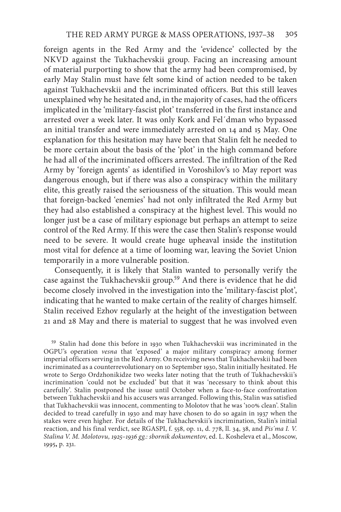foreign agents in the Red Army and the 'evidence' collected by the NKVD against the Tukhachevskii group. Facing an increasing amount of material purporting to show that the army had been compromised, by early May Stalin must have felt some kind of action needed to be taken against Tukhachevskii and the incriminated officers. But this still leaves unexplained why he hesitated and, in the majority of cases, had the officers implicated in the 'military-fascist plot' transferred in the first instance and arrested over a week later. It was only Kork and Fel´dman who bypassed an initial transfer and were immediately arrested on 14 and 15 May. One explanation for this hesitation may have been that Stalin felt he needed to be more certain about the basis of the 'plot' in the high command before he had all of the incriminated officers arrested. The infiltration of the Red Army by 'foreign agents' as identified in Voroshilov's 10 May report was dangerous enough, but if there was also a conspiracy within the military elite, this greatly raised the seriousness of the situation. This would mean that foreign-backed 'enemies' had not only infiltrated the Red Army but they had also established a conspiracy at the highest level. This would no longer just be a case of military espionage but perhaps an attempt to seize control of the Red Army. If this were the case then Stalin's response would need to be severe. It would create huge upheaval inside the institution most vital for defence at a time of looming war, leaving the Soviet Union temporarily in a more vulnerable position.

Consequently, it is likely that Stalin wanted to personally verify the case against the Tukhachevskii group.59 And there is evidence that he did become closely involved in the investigation into the 'military-fascist plot', indicating that he wanted to make certain of the reality of charges himself. Stalin received Ezhov regularly at the height of the investigation between 21 and 28 May and there is material to suggest that he was involved even

<sup>59</sup> Stalin had done this before in 1930 when Tukhachevskii was incriminated in the OGPU's operation *vesna* that 'exposed' a major military conspiracy among former imperial officers serving in the Red Army. On receiving news that Tukhachevskii had been incriminated as a counterrevolutionary on 10 September 1930, Stalin initially hesitated. He wrote to Sergo Ordzhonikidze two weeks later noting that the truth of Tukhachevskii's incrimination 'could not be excluded' but that it was 'necessary to think about this carefully'. Stalin postponed the issue until October when a face-to-face confrontation between Tukhachevskii and his accusers was arranged. Following this, Stalin was satisfied that Tukhachevskii was innocent, commenting to Molotov that he was '100% clean'. Stalin decided to tread carefully in 1930 and may have chosen to do so again in 1937 when the stakes were even higher. For details of the Tukhachevskii's incrimination, Stalin's initial reaction, and his final verdict, see RGASPI, f. 558, op. 11, d. 778, ll. 34, 38, and *Pis´ma I. V. Stalina V. M. Molotovu, 1925–1936 gg.: sbornik dokumento*v, ed. L. Kosheleva et al., Moscow, 1995**,** p. 231.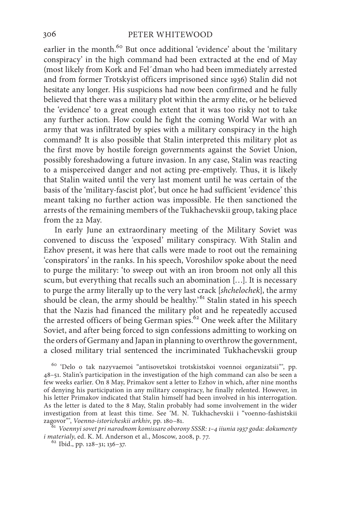earlier in the month.<sup>60</sup> But once additional 'evidence' about the 'military conspiracy' in the high command had been extracted at the end of May (most likely from Kork and Fel´dman who had been immediately arrested and from former Trotskyist officers imprisoned since 1936) Stalin did not hesitate any longer. His suspicions had now been confirmed and he fully believed that there was a military plot within the army elite, or he believed the 'evidence' to a great enough extent that it was too risky not to take any further action. How could he fight the coming World War with an army that was infiltrated by spies with a military conspiracy in the high command? It is also possible that Stalin interpreted this military plot as the first move by hostile foreign governments against the Soviet Union, possibly foreshadowing a future invasion. In any case, Stalin was reacting to a misperceived danger and not acting pre-emptively. Thus, it is likely that Stalin waited until the very last moment until he was certain of the basis of the 'military-fascist plot', but once he had sufficient 'evidence' this meant taking no further action was impossible. He then sanctioned the arrests of the remaining members of the Tukhachevskii group, taking place from the 22 May.

In early June an extraordinary meeting of the Military Soviet was convened to discuss the 'exposed' military conspiracy. With Stalin and Ezhov present, it was here that calls were made to root out the remaining 'conspirators' in the ranks. In his speech, Voroshilov spoke about the need to purge the military: 'to sweep out with an iron broom not only all this scum, but everything that recalls such an abomination […]. It is necessary to purge the army literally up to the very last crack [*shchelochek*], the army should be clean, the army should be healthy.<sup>'61</sup> Stalin stated in his speech that the Nazis had financed the military plot and he repeatedly accused the arrested officers of being German spies.<sup>62</sup> One week after the Military Soviet, and after being forced to sign confessions admitting to working on the orders of Germany and Japan in planning to overthrow the government, a closed military trial sentenced the incriminated Tukhachevskii group

<sup>60</sup> 'Delo o tak nazyvaemoi "antisovetskoi trotskistskoi voennoi organizatsii"', pp. 48–51. Stalin's participation in the investigation of the high command can also be seen a few weeks earlier. On 8 May, Primakov sent a letter to Ezhov in which, after nine months of denying his participation in any military conspiracy, he finally relented. However, in his letter Primakov indicated that Stalin himself had been involved in his interrogation. As the letter is dated to the 8 May, Stalin probably had some involvement in the wider investigation from at least this time. See 'M. N. Tukhachevskii i "voenno-fashistskii zagovor", Voenno-istoricheskii arkhiv, pp. 180-81.

Voennyi sovet pri narodnom komissare oborony SSSR: 1-4 iiunia 1937 goda: dokumenty *i materialy*, ed. K. M. Anderson et al., Moscow, 2008, p. 77. <sup>62</sup> Ibid., pp. 128–31; 136–37.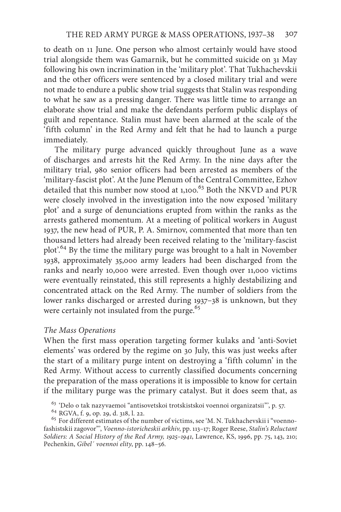to death on 11 June. One person who almost certainly would have stood trial alongside them was Gamarnik, but he committed suicide on 31 May following his own incrimination in the 'military plot'. That Tukhachevskii and the other officers were sentenced by a closed military trial and were not made to endure a public show trial suggests that Stalin was responding to what he saw as a pressing danger. There was little time to arrange an elaborate show trial and make the defendants perform public displays of guilt and repentance. Stalin must have been alarmed at the scale of the 'fifth column' in the Red Army and felt that he had to launch a purge immediately.

The military purge advanced quickly throughout June as a wave of discharges and arrests hit the Red Army. In the nine days after the military trial, 980 senior officers had been arrested as members of the 'military-fascist plot'. At the June Plenum of the Central Committee, Ezhov detailed that this number now stood at  $1,100$ .<sup>63</sup> Both the NKVD and PUR were closely involved in the investigation into the now exposed 'military plot' and a surge of denunciations erupted from within the ranks as the arrests gathered momentum. At a meeting of political workers in August 1937, the new head of PUR, P. A. Smirnov, commented that more than ten thousand letters had already been received relating to the 'military-fascist plot'.64 By the time the military purge was brought to a halt in November 1938, approximately 35,000 army leaders had been discharged from the ranks and nearly 10,000 were arrested. Even though over 11,000 victims were eventually reinstated, this still represents a highly destabilizing and concentrated attack on the Red Army. The number of soldiers from the lower ranks discharged or arrested during 1937–38 is unknown, but they were certainly not insulated from the purge.<sup>65</sup>

#### *The Mass Operations*

When the first mass operation targeting former kulaks and 'anti-Soviet elements' was ordered by the regime on 30 July, this was just weeks after the start of a military purge intent on destroying a 'fifth column' in the Red Army. Without access to currently classified documents concerning the preparation of the mass operations it is impossible to know for certain if the military purge was the primary catalyst. But it does seem that, as

<sup>&</sup>lt;sup>63</sup> 'Delo o tak nazyvaemoi "antisovetskoi trotskistskoi voennoi organizatsii"', p. 57.<br><sup>64</sup> RGVA, f. 9, op. 29, d. 318, l. 22.<br><sup>65</sup> For different estimates of the number of victims, see 'M. N. Tukhachevskii i "voennofashistskii zagovor"', *Voenno-istoricheskii arkhiv*, pp. 113–17; Roger Reese, *Stalin's Reluctant Soldiers: A Social History of the Red Army, 1925–1941*, Lawrence, KS, 1996, pp. 75, 143, 210; Pechenkin, *Gibel´ voennoi elity*, pp. 148–56.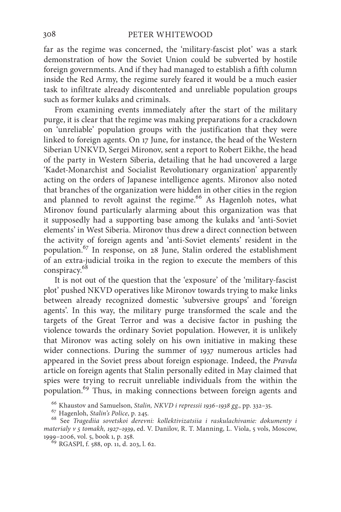far as the regime was concerned, the 'military-fascist plot' was a stark demonstration of how the Soviet Union could be subverted by hostile foreign governments. And if they had managed to establish a fifth column inside the Red Army, the regime surely feared it would be a much easier task to infiltrate already discontented and unreliable population groups such as former kulaks and criminals.

From examining events immediately after the start of the military purge, it is clear that the regime was making preparations for a crackdown on 'unreliable' population groups with the justification that they were linked to foreign agents. On 17 June, for instance, the head of the Western Siberian UNKVD, Sergei Mironov, sent a report to Robert Eikhe, the head of the party in Western Siberia, detailing that he had uncovered a large 'Kadet-Monarchist and Socialist Revolutionary organization' apparently acting on the orders of Japanese intelligence agents. Mironov also noted that branches of the organization were hidden in other cities in the region and planned to revolt against the regime.<sup>66</sup> As Hagenloh notes, what Mironov found particularly alarming about this organization was that it supposedly had a supporting base among the kulaks and 'anti-Soviet elements' in West Siberia. Mironov thus drew a direct connection between the activity of foreign agents and 'anti-Soviet elements' resident in the population.67 In response, on 28 June, Stalin ordered the establishment of an extra-judicial troika in the region to execute the members of this conspiracy.<sup>68</sup>

It is not out of the question that the 'exposure' of the 'military-fascist plot' pushed NKVD operatives like Mironov towards trying to make links between already recognized domestic 'subversive groups' and 'foreign agents'. In this way, the military purge transformed the scale and the targets of the Great Terror and was a decisive factor in pushing the violence towards the ordinary Soviet population. However, it is unlikely that Mironov was acting solely on his own initiative in making these wider connections. During the summer of 1937 numerous articles had appeared in the Soviet press about foreign espionage. Indeed, the *Pravda*  article on foreign agents that Stalin personally edited in May claimed that spies were trying to recruit unreliable individuals from the within the population.<sup>69</sup> Thus, in making connections between foreign agents and

<sup>66</sup> Khaustov and Samuelson, *Stalin, NKVD i repressii 1936–1938 gg.*, pp. 332–35. <sup>67</sup> Hagenloh, *Stalin's Police*, p. 245. <sup>68</sup> See *Tragediia sovetskoi derevni: kollektivizatsiia i raskulachivanie: dokumenty i materialy v 5 tomakh, 1927–1939*, ed. V. Danilov, R. T. Manning, L. Viola, 5 vols, Moscow,

<sup>&</sup>lt;sup>69</sup> RGASPI, f. 588, op. 11, d. 203, l. 62.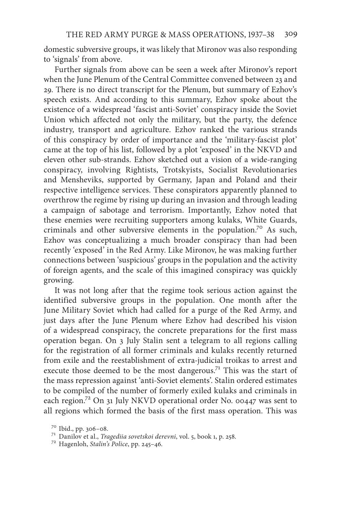domestic subversive groups, it was likely that Mironov was also responding to 'signals' from above.

Further signals from above can be seen a week after Mironov's report when the June Plenum of the Central Committee convened between 23 and 29. There is no direct transcript for the Plenum, but summary of Ezhov's speech exists. And according to this summary, Ezhov spoke about the existence of a widespread 'fascist anti-Soviet' conspiracy inside the Soviet Union which affected not only the military, but the party, the defence industry, transport and agriculture. Ezhov ranked the various strands of this conspiracy by order of importance and the 'military-fascist plot' came at the top of his list, followed by a plot 'exposed' in the NKVD and eleven other sub-strands. Ezhov sketched out a vision of a wide-ranging conspiracy, involving Rightists, Trotskyists, Socialist Revolutionaries and Mensheviks, supported by Germany, Japan and Poland and their respective intelligence services. These conspirators apparently planned to overthrow the regime by rising up during an invasion and through leading a campaign of sabotage and terrorism. Importantly, Ezhov noted that these enemies were recruiting supporters among kulaks, White Guards, criminals and other subversive elements in the population.<sup>70</sup> As such, Ezhov was conceptualizing a much broader conspiracy than had been recently 'exposed' in the Red Army. Like Mironov, he was making further connections between 'suspicious' groups in the population and the activity of foreign agents, and the scale of this imagined conspiracy was quickly growing.

It was not long after that the regime took serious action against the identified subversive groups in the population. One month after the June Military Soviet which had called for a purge of the Red Army, and just days after the June Plenum where Ezhov had described his vision of a widespread conspiracy, the concrete preparations for the first mass operation began. On 3 July Stalin sent a telegram to all regions calling for the registration of all former criminals and kulaks recently returned from exile and the reestablishment of extra-judicial troikas to arrest and execute those deemed to be the most dangerous.<sup>71</sup> This was the start of the mass repression against 'anti-Soviet elements'. Stalin ordered estimates to be compiled of the number of formerly exiled kulaks and criminals in each region.<sup>72</sup> On 31 July NKVD operational order No. 00447 was sent to all regions which formed the basis of the first mass operation. This was

<sup>70</sup> Ibid., pp. 306–08. <sup>71</sup> Danilov et al., *Tragediia sovetskoi derevni*, vol. 5, book 1, p. 258. <sup>72</sup> Hagenloh, *Stalin's Police*, pp. 245–46.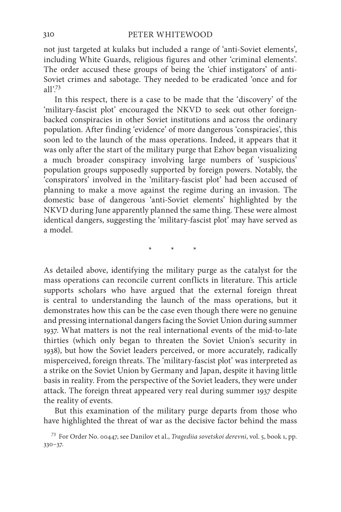not just targeted at kulaks but included a range of 'anti-Soviet elements', including White Guards, religious figures and other 'criminal elements'. The order accused these groups of being the 'chief instigators' of anti-Soviet crimes and sabotage. They needed to be eradicated 'once and for  $a1$ !<sup>73</sup>

In this respect, there is a case to be made that the 'discovery' of the 'military-fascist plot' encouraged the NKVD to seek out other foreignbacked conspiracies in other Soviet institutions and across the ordinary population. After finding 'evidence' of more dangerous 'conspiracies', this soon led to the launch of the mass operations. Indeed, it appears that it was only after the start of the military purge that Ezhov began visualizing a much broader conspiracy involving large numbers of 'suspicious' population groups supposedly supported by foreign powers. Notably, the 'conspirators' involved in the 'military-fascist plot' had been accused of planning to make a move against the regime during an invasion. The domestic base of dangerous 'anti-Soviet elements' highlighted by the NKVD during June apparently planned the same thing. These were almost identical dangers, suggesting the 'military-fascist plot' may have served as a model.

\* \* \*

As detailed above, identifying the military purge as the catalyst for the mass operations can reconcile current conflicts in literature. This article supports scholars who have argued that the external foreign threat is central to understanding the launch of the mass operations, but it demonstrates how this can be the case even though there were no genuine and pressing international dangers facing the Soviet Union during summer 1937. What matters is not the real international events of the mid-to-late thirties (which only began to threaten the Soviet Union's security in 1938), but how the Soviet leaders perceived, or more accurately, radically misperceived, foreign threats. The 'military-fascist plot' was interpreted as a strike on the Soviet Union by Germany and Japan, despite it having little basis in reality. From the perspective of the Soviet leaders, they were under attack. The foreign threat appeared very real during summer 1937 despite the reality of events.

But this examination of the military purge departs from those who have highlighted the threat of war as the decisive factor behind the mass

<sup>73</sup> For Order No. 00447, see Danilov et al., *Tragediia sovetskoi derevni*, vol. 5, book 1, pp. 330–37.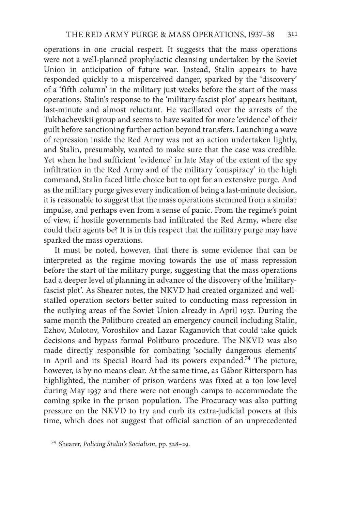operations in one crucial respect. It suggests that the mass operations were not a well-planned prophylactic cleansing undertaken by the Soviet Union in anticipation of future war. Instead, Stalin appears to have responded quickly to a misperceived danger, sparked by the 'discovery' of a 'fifth column' in the military just weeks before the start of the mass operations. Stalin's response to the 'military-fascist plot' appears hesitant, last-minute and almost reluctant. He vacillated over the arrests of the Tukhachevskii group and seems to have waited for more 'evidence' of their guilt before sanctioning further action beyond transfers. Launching a wave of repression inside the Red Army was not an action undertaken lightly, and Stalin, presumably, wanted to make sure that the case was credible. Yet when he had sufficient 'evidence' in late May of the extent of the spy infiltration in the Red Army and of the military 'conspiracy' in the high command, Stalin faced little choice but to opt for an extensive purge. And as the military purge gives every indication of being a last-minute decision, it is reasonable to suggest that the mass operations stemmed from a similar impulse, and perhaps even from a sense of panic. From the regime's point of view, if hostile governments had infiltrated the Red Army, where else could their agents be? It is in this respect that the military purge may have sparked the mass operations.

It must be noted, however, that there is some evidence that can be interpreted as the regime moving towards the use of mass repression before the start of the military purge, suggesting that the mass operations had a deeper level of planning in advance of the discovery of the 'militaryfascist plot'. As Shearer notes, the NKVD had created organized and wellstaffed operation sectors better suited to conducting mass repression in the outlying areas of the Soviet Union already in April 1937. During the same month the Politburo created an emergency council including Stalin, Ezhov, Molotov, Voroshilov and Lazar Kaganovich that could take quick decisions and bypass formal Politburo procedure. The NKVD was also made directly responsible for combating 'socially dangerous elements' in April and its Special Board had its powers expanded.74 The picture, however, is by no means clear. At the same time, as Gábor Rittersporn has highlighted, the number of prison wardens was fixed at a too low-level during May 1937 and there were not enough camps to accommodate the coming spike in the prison population. The Procuracy was also putting pressure on the NKVD to try and curb its extra-judicial powers at this time, which does not suggest that official sanction of an unprecedented

<sup>74</sup> Shearer, *Policing Stalin's Socialism*, pp. 328–29.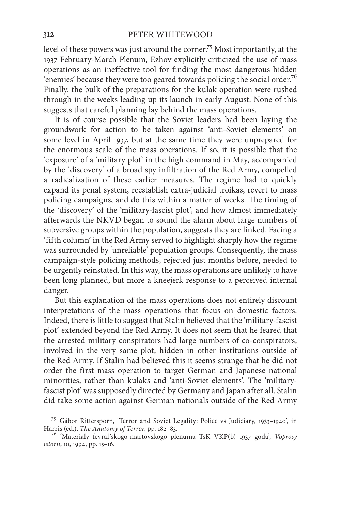level of these powers was just around the corner.75 Most importantly, at the 1937 February-March Plenum, Ezhov explicitly criticized the use of mass operations as an ineffective tool for finding the most dangerous hidden 'enemies' because they were too geared towards policing the social order.76 Finally, the bulk of the preparations for the kulak operation were rushed through in the weeks leading up its launch in early August. None of this suggests that careful planning lay behind the mass operations.

It is of course possible that the Soviet leaders had been laying the groundwork for action to be taken against 'anti-Soviet elements' on some level in April 1937, but at the same time they were unprepared for the enormous scale of the mass operations. If so, it is possible that the 'exposure' of a 'military plot' in the high command in May, accompanied by the 'discovery' of a broad spy infiltration of the Red Army, compelled a radicalization of these earlier measures. The regime had to quickly expand its penal system, reestablish extra-judicial troikas, revert to mass policing campaigns, and do this within a matter of weeks. The timing of the 'discovery' of the 'military-fascist plot', and how almost immediately afterwards the NKVD began to sound the alarm about large numbers of subversive groups within the population, suggests they are linked. Facing a 'fifth column' in the Red Army served to highlight sharply how the regime was surrounded by 'unreliable' population groups. Consequently, the mass campaign-style policing methods, rejected just months before, needed to be urgently reinstated. In this way, the mass operations are unlikely to have been long planned, but more a kneejerk response to a perceived internal danger.

But this explanation of the mass operations does not entirely discount interpretations of the mass operations that focus on domestic factors. Indeed, there is little to suggest that Stalin believed that the 'military-fascist plot' extended beyond the Red Army. It does not seem that he feared that the arrested military conspirators had large numbers of co-conspirators, involved in the very same plot, hidden in other institutions outside of the Red Army. If Stalin had believed this it seems strange that he did not order the first mass operation to target German and Japanese national minorities, rather than kulaks and 'anti-Soviet elements'. The 'militaryfascist plot' was supposedly directed by Germany and Japan after all. Stalin did take some action against German nationals outside of the Red Army

<sup>&</sup>lt;sup>75</sup> Gábor Rittersporn, 'Terror and Soviet Legality: Police vs Judiciary, 1933–1940', in Harris (ed.), *The Anatomy of Terror*, pp. 182–83.

Harris (ed.), *The Anatomy of Terror*, pp. 182–83. <sup>76</sup> 'Materialy fevral´skogo-martovskogo plenuma TsK VKP(b) 1937 goda', *Voprosy istorii*, 10, 1994, pp. 15–16.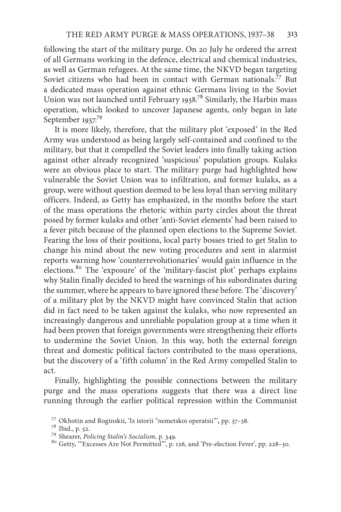following the start of the military purge. On 20 July he ordered the arrest of all Germans working in the defence, electrical and chemical industries, as well as German refugees. At the same time, the NKVD began targeting Soviet citizens who had been in contact with German nationals.<sup>77</sup> But a dedicated mass operation against ethnic Germans living in the Soviet Union was not launched until February 1938.<sup>78</sup> Similarly, the Harbin mass operation, which looked to uncover Japanese agents, only began in late September 1937.<sup>79</sup>

It is more likely, therefore, that the military plot 'exposed' in the Red Army was understood as being largely self-contained and confined to the military, but that it compelled the Soviet leaders into finally taking action against other already recognized 'suspicious' population groups. Kulaks were an obvious place to start. The military purge had highlighted how vulnerable the Soviet Union was to infiltration, and former kulaks, as a group, were without question deemed to be less loyal than serving military officers. Indeed, as Getty has emphasized, in the months before the start of the mass operations the rhetoric within party circles about the threat posed by former kulaks and other 'anti-Soviet elements' had been raised to a fever pitch because of the planned open elections to the Supreme Soviet. Fearing the loss of their positions, local party bosses tried to get Stalin to change his mind about the new voting procedures and sent in alarmist reports warning how 'counterrevolutionaries' would gain influence in the elections.<sup>80</sup> The 'exposure' of the 'military-fascist plot' perhaps explains why Stalin finally decided to heed the warnings of his subordinates during the summer, where he appears to have ignored these before. The 'discovery' of a military plot by the NKVD might have convinced Stalin that action did in fact need to be taken against the kulaks, who now represented an increasingly dangerous and unreliable population group at a time when it had been proven that foreign governments were strengthening their efforts to undermine the Soviet Union. In this way, both the external foreign threat and domestic political factors contributed to the mass operations, but the discovery of a 'fifth column' in the Red Army compelled Stalin to act.

Finally, highlighting the possible connections between the military purge and the mass operations suggests that there was a direct line running through the earlier political repression within the Communist

<sup>&</sup>lt;sup>77</sup> Okhotin and Roginskii, 'Iz istorii "nemetskoi operatsii", pp. 37–38.<br><sup>78</sup> Ibid., p. 52.<br><sup>79</sup> Shearer, *Policing Stalin's Socialism*, p. 349.<br><sup>80</sup> Getty, "Excesses Are Not Permitted", p. 126, and 'Pre-election Fever',